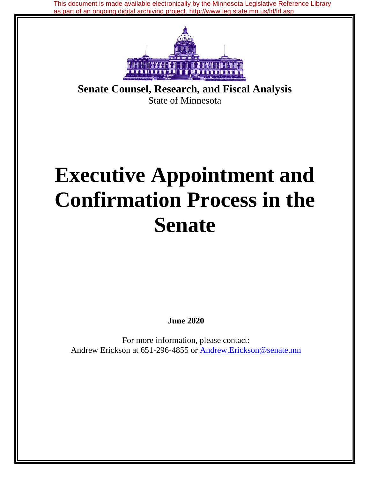This document is made available electronically by the Minnesota Legislative Reference Library as part of an ongoing digital archiving project. http://www.leg.state.mn.us/lrl/lrl.asp



**Senate Counsel, Research, and Fiscal Analysis** State of Minnesota

# **Executive Appointment and Confirmation Process in the Senate**

**June 2020**

For more information, please contact: Andrew Erickson at 651-296-4855 or Andrew.Erickson@senate.mn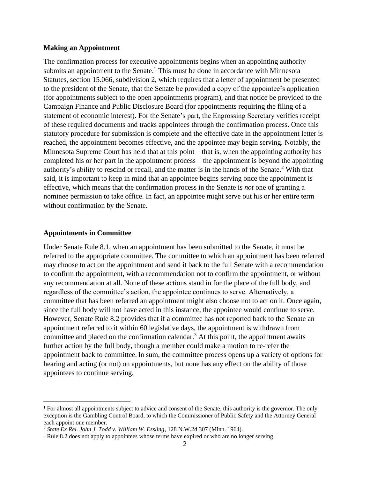#### **Making an Appointment**

The confirmation process for executive appointments begins when an appointing authority submits an appointment to the Senate.<sup>1</sup> This must be done in accordance with Minnesota Statutes, section 15.066, subdivision 2, which requires that a letter of appointment be presented to the president of the Senate, that the Senate be provided a copy of the appointee's application (for appointments subject to the open appointments program), and that notice be provided to the Campaign Finance and Public Disclosure Board (for appointments requiring the filing of a statement of economic interest). For the Senate's part, the Engrossing Secretary verifies receipt of these required documents and tracks appointees through the confirmation process. Once this statutory procedure for submission is complete and the effective date in the appointment letter is reached, the appointment becomes effective, and the appointee may begin serving. Notably, the Minnesota Supreme Court has held that at this point – that is, when the appointing authority has completed his or her part in the appointment process – the appointment is beyond the appointing authority's ability to rescind or recall, and the matter is in the hands of the Senate. <sup>2</sup> With that said, it is important to keep in mind that an appointee begins serving once the appointment is effective, which means that the confirmation process in the Senate is *not* one of granting a nominee permission to take office. In fact, an appointee might serve out his or her entire term without confirmation by the Senate.

### **Appointments in Committee**

Under Senate Rule 8.1, when an appointment has been submitted to the Senate, it must be referred to the appropriate committee. The committee to which an appointment has been referred may choose to act on the appointment and send it back to the full Senate with a recommendation to confirm the appointment, with a recommendation not to confirm the appointment, or without any recommendation at all. None of these actions stand in for the place of the full body, and regardless of the committee's action, the appointee continues to serve. Alternatively, a committee that has been referred an appointment might also choose not to act on it. Once again, since the full body will not have acted in this instance, the appointee would continue to serve. However, Senate Rule 8.2 provides that if a committee has not reported back to the Senate an appointment referred to it within 60 legislative days, the appointment is withdrawn from committee and placed on the confirmation calendar.<sup>3</sup> At this point, the appointment awaits further action by the full body, though a member could make a motion to re-refer the appointment back to committee. In sum, the committee process opens up a variety of options for hearing and acting (or not) on appointments, but none has any effect on the ability of those appointees to continue serving.

<sup>&</sup>lt;sup>1</sup> For almost all appointments subject to advice and consent of the Senate, this authority is the governor. The only exception is the Gambling Control Board, to which the Commissioner of Public Safety and the Attorney General each appoint one member.

<sup>2</sup> *State Ex Rel. John J. Todd v. William W. Essling*, 128 N.W.2d 307 (Minn. 1964).

<sup>&</sup>lt;sup>3</sup> Rule 8.2 does not apply to appointees whose terms have expired or who are no longer serving.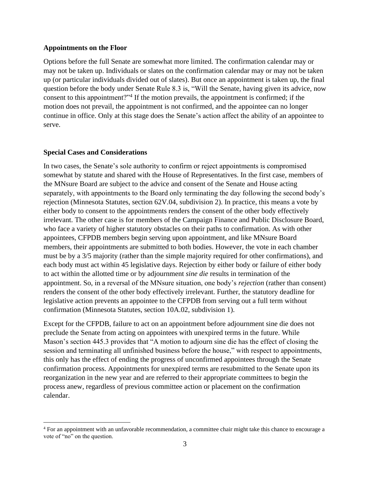#### **Appointments on the Floor**

Options before the full Senate are somewhat more limited. The confirmation calendar may or may not be taken up. Individuals or slates on the confirmation calendar may or may not be taken up (or particular individuals divided out of slates). But once an appointment is taken up, the final question before the body under Senate Rule 8.3 is, "Will the Senate, having given its advice, now consent to this appointment?"<sup>4</sup> If the motion prevails, the appointment is confirmed; if the motion does not prevail, the appointment is not confirmed, and the appointee can no longer continue in office. Only at this stage does the Senate's action affect the ability of an appointee to serve.

## **Special Cases and Considerations**

In two cases, the Senate's sole authority to confirm or reject appointments is compromised somewhat by statute and shared with the House of Representatives. In the first case, members of the MNsure Board are subject to the advice and consent of the Senate and House acting separately, with appointments to the Board only terminating the day following the second body's rejection (Minnesota Statutes, section 62V.04, subdivision 2). In practice, this means a vote by either body to consent to the appointments renders the consent of the other body effectively irrelevant. The other case is for members of the Campaign Finance and Public Disclosure Board, who face a variety of higher statutory obstacles on their paths to confirmation. As with other appointees, CFPDB members begin serving upon appointment, and like MNsure Board members, their appointments are submitted to both bodies. However, the vote in each chamber must be by a 3/5 majority (rather than the simple majority required for other confirmations), and each body must act within 45 legislative days. Rejection by either body or failure of either body to act within the allotted time or by adjournment *sine die* results in termination of the appointment. So, in a reversal of the MNsure situation, one body's *rejection* (rather than consent) renders the consent of the other body effectively irrelevant. Further, the statutory deadline for legislative action prevents an appointee to the CFPDB from serving out a full term without confirmation (Minnesota Statutes, section 10A.02, subdivision 1).

Except for the CFPDB, failure to act on an appointment before adjournment sine die does not preclude the Senate from acting on appointees with unexpired terms in the future. While Mason's section 445.3 provides that "A motion to adjourn sine die has the effect of closing the session and terminating all unfinished business before the house," with respect to appointments, this only has the effect of ending the progress of unconfirmed appointees through the Senate confirmation process. Appointments for unexpired terms are resubmitted to the Senate upon its reorganization in the new year and are referred to their appropriate committees to begin the process anew, regardless of previous committee action or placement on the confirmation calendar.

<sup>4</sup> For an appointment with an unfavorable recommendation, a committee chair might take this chance to encourage a vote of "no" on the question.